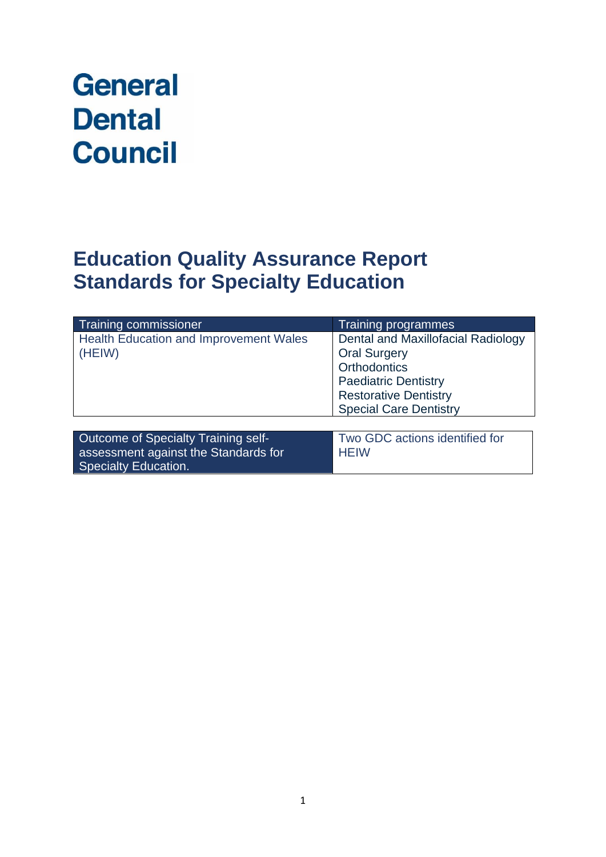# **General Dental Council**

# **Education Quality Assurance Report Standards for Specialty Education**

| Training commissioner                                                                               | <b>Training programmes</b>                                                                                                                                                       |
|-----------------------------------------------------------------------------------------------------|----------------------------------------------------------------------------------------------------------------------------------------------------------------------------------|
| <b>Health Education and Improvement Wales</b><br>(HEIW)                                             | Dental and Maxillofacial Radiology<br><b>Oral Surgery</b><br><b>Orthodontics</b><br><b>Paediatric Dentistry</b><br><b>Restorative Dentistry</b><br><b>Special Care Dentistry</b> |
|                                                                                                     |                                                                                                                                                                                  |
| Outcome of Specialty Training self-<br>assessment against the Standards for<br>Specialty Education. | Two GDC actions identified for<br><b>HEIW</b>                                                                                                                                    |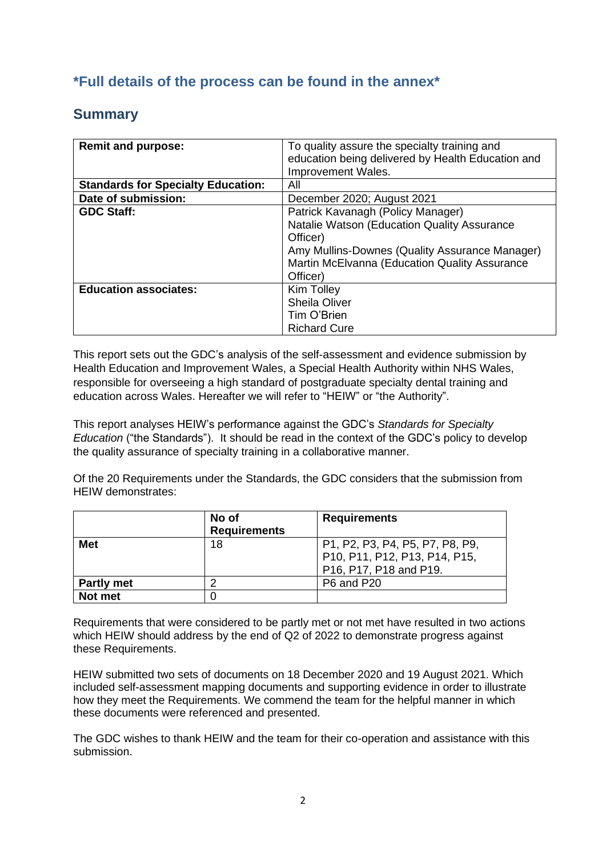### **\*Full details of the process can be found in the annex\***

### **Summary**

| <b>Remit and purpose:</b>                 | To quality assure the specialty training and<br>education being delivered by Health Education and<br>Improvement Wales.                                                                                     |
|-------------------------------------------|-------------------------------------------------------------------------------------------------------------------------------------------------------------------------------------------------------------|
| <b>Standards for Specialty Education:</b> | All                                                                                                                                                                                                         |
| Date of submission:                       | December 2020; August 2021                                                                                                                                                                                  |
| <b>GDC Staff:</b>                         | Patrick Kavanagh (Policy Manager)<br>Natalie Watson (Education Quality Assurance<br>Officer)<br>Amy Mullins-Downes (Quality Assurance Manager)<br>Martin McElvanna (Education Quality Assurance<br>Officer) |
| <b>Education associates:</b>              | Kim Tolley<br><b>Sheila Oliver</b><br>Tim O'Brien<br><b>Richard Cure</b>                                                                                                                                    |

This report sets out the GDC's analysis of the self-assessment and evidence submission by Health Education and Improvement Wales, a Special Health Authority within NHS Wales, responsible for overseeing a high standard of postgraduate specialty dental training and education across Wales. Hereafter we will refer to "HEIW" or "the Authority".

This report analyses HEIW's performance against the GDC's *Standards for Specialty Education* ("the Standards"). It should be read in the context of the GDC's policy to develop the quality assurance of specialty training in a collaborative manner.

Of the 20 Requirements under the Standards, the GDC considers that the submission from HEIW demonstrates:

|                   | No of<br><b>Requirements</b> | <b>Requirements</b>                                                                        |
|-------------------|------------------------------|--------------------------------------------------------------------------------------------|
| <b>Met</b>        | 18                           | P1, P2, P3, P4, P5, P7, P8, P9,<br>P10, P11, P12, P13, P14, P15,<br>P16, P17, P18 and P19. |
| <b>Partly met</b> |                              | P6 and P20                                                                                 |
| Not met           |                              |                                                                                            |

Requirements that were considered to be partly met or not met have resulted in two actions which HEIW should address by the end of Q2 of 2022 to demonstrate progress against these Requirements.

HEIW submitted two sets of documents on 18 December 2020 and 19 August 2021. Which included self-assessment mapping documents and supporting evidence in order to illustrate how they meet the Requirements. We commend the team for the helpful manner in which these documents were referenced and presented.

The GDC wishes to thank HEIW and the team for their co-operation and assistance with this submission.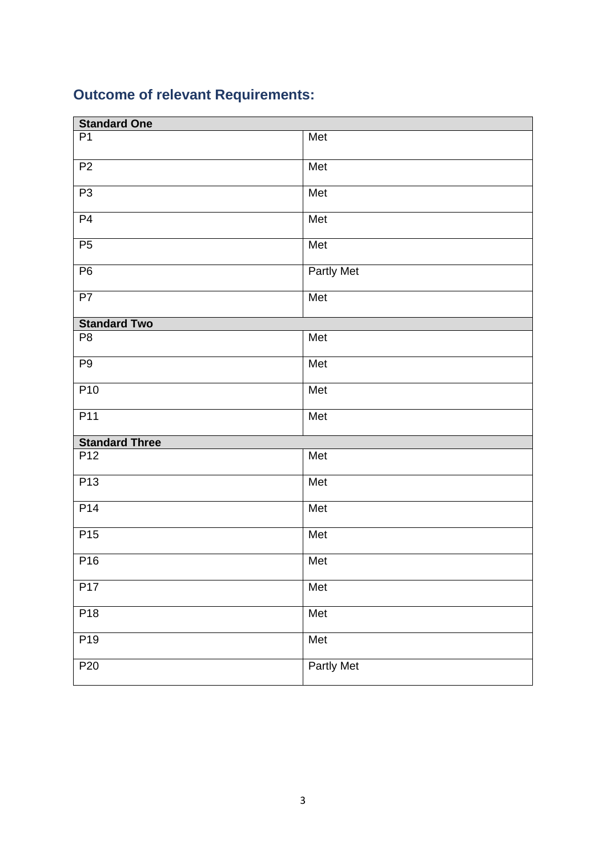# **Outcome of relevant Requirements:**

| <b>Standard One</b>   |                   |  |
|-----------------------|-------------------|--|
| P <sub>1</sub>        | Met               |  |
| P <sub>2</sub>        | Met               |  |
| P3                    | Met               |  |
| P <sub>4</sub>        | Met               |  |
| P5                    | Met               |  |
| P <sub>6</sub>        | Partly Met        |  |
| P7                    | Met               |  |
| <b>Standard Two</b>   |                   |  |
| P <sub>8</sub>        | Met               |  |
| P <sub>9</sub>        | Met               |  |
| P <sub>10</sub>       | Met               |  |
| P <sub>11</sub>       | Met               |  |
| <b>Standard Three</b> |                   |  |
| P12                   | Met               |  |
| P13                   | Met               |  |
| P14                   | Met               |  |
| P <sub>15</sub>       | Met               |  |
| P <sub>16</sub>       | Met               |  |
| P17                   | Met               |  |
| P <sub>18</sub>       | Met               |  |
| P <sub>19</sub>       | Met               |  |
| P <sub>20</sub>       | <b>Partly Met</b> |  |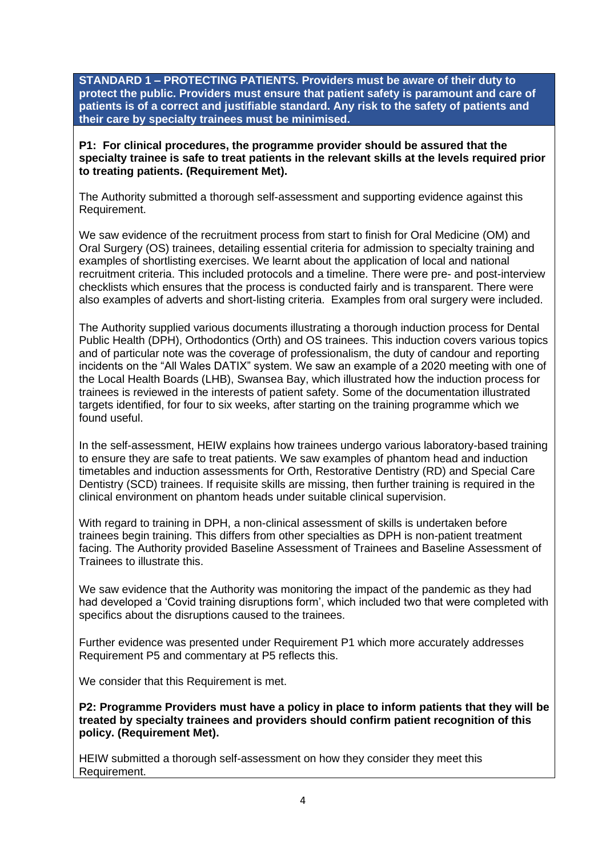**STANDARD 1 – PROTECTING PATIENTS. Providers must be aware of their duty to protect the public. Providers must ensure that patient safety is paramount and care of patients is of a correct and justifiable standard. Any risk to the safety of patients and their care by specialty trainees must be minimised.**

**P1: For clinical procedures, the programme provider should be assured that the specialty trainee is safe to treat patients in the relevant skills at the levels required prior to treating patients. (Requirement Met).**

The Authority submitted a thorough self-assessment and supporting evidence against this Requirement.

We saw evidence of the recruitment process from start to finish for Oral Medicine (OM) and Oral Surgery (OS) trainees, detailing essential criteria for admission to specialty training and examples of shortlisting exercises. We learnt about the application of local and national recruitment criteria. This included protocols and a timeline. There were pre- and post-interview checklists which ensures that the process is conducted fairly and is transparent. There were also examples of adverts and short-listing criteria. Examples from oral surgery were included.

The Authority supplied various documents illustrating a thorough induction process for Dental Public Health (DPH), Orthodontics (Orth) and OS trainees. This induction covers various topics and of particular note was the coverage of professionalism, the duty of candour and reporting incidents on the "All Wales DATIX" system. We saw an example of a 2020 meeting with one of the Local Health Boards (LHB), Swansea Bay, which illustrated how the induction process for trainees is reviewed in the interests of patient safety. Some of the documentation illustrated targets identified, for four to six weeks, after starting on the training programme which we found useful.

In the self-assessment, HEIW explains how trainees undergo various laboratory-based training to ensure they are safe to treat patients. We saw examples of phantom head and induction timetables and induction assessments for Orth, Restorative Dentistry (RD) and Special Care Dentistry (SCD) trainees. If requisite skills are missing, then further training is required in the clinical environment on phantom heads under suitable clinical supervision.

With regard to training in DPH, a non-clinical assessment of skills is undertaken before trainees begin training. This differs from other specialties as DPH is non-patient treatment facing. The Authority provided Baseline Assessment of Trainees and Baseline Assessment of Trainees to illustrate this.

We saw evidence that the Authority was monitoring the impact of the pandemic as they had had developed a 'Covid training disruptions form', which included two that were completed with specifics about the disruptions caused to the trainees.

Further evidence was presented under Requirement P1 which more accurately addresses Requirement P5 and commentary at P5 reflects this.

We consider that this Requirement is met.

**P2: Programme Providers must have a policy in place to inform patients that they will be treated by specialty trainees and providers should confirm patient recognition of this policy. (Requirement Met).**

HEIW submitted a thorough self-assessment on how they consider they meet this Requirement.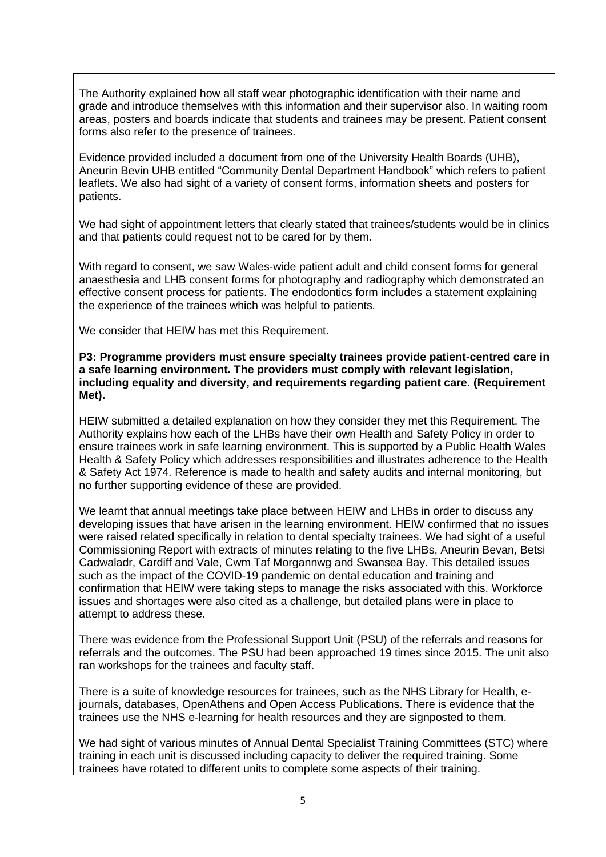The Authority explained how all staff wear photographic identification with their name and grade and introduce themselves with this information and their supervisor also. In waiting room areas, posters and boards indicate that students and trainees may be present. Patient consent forms also refer to the presence of trainees.

Evidence provided included a document from one of the University Health Boards (UHB), Aneurin Bevin UHB entitled "Community Dental Department Handbook" which refers to patient leaflets. We also had sight of a variety of consent forms, information sheets and posters for patients.

We had sight of appointment letters that clearly stated that trainees/students would be in clinics and that patients could request not to be cared for by them.

With regard to consent, we saw Wales-wide patient adult and child consent forms for general anaesthesia and LHB consent forms for photography and radiography which demonstrated an effective consent process for patients. The endodontics form includes a statement explaining the experience of the trainees which was helpful to patients.

We consider that HEIW has met this Requirement.

**P3: Programme providers must ensure specialty trainees provide patient-centred care in a safe learning environment. The providers must comply with relevant legislation, including equality and diversity, and requirements regarding patient care. (Requirement Met).**

HEIW submitted a detailed explanation on how they consider they met this Requirement. The Authority explains how each of the LHBs have their own Health and Safety Policy in order to ensure trainees work in safe learning environment. This is supported by a Public Health Wales Health & Safety Policy which addresses responsibilities and illustrates adherence to the Health & Safety Act 1974. Reference is made to health and safety audits and internal monitoring, but no further supporting evidence of these are provided.

We learnt that annual meetings take place between HEIW and LHBs in order to discuss any developing issues that have arisen in the learning environment. HEIW confirmed that no issues were raised related specifically in relation to dental specialty trainees. We had sight of a useful Commissioning Report with extracts of minutes relating to the five LHBs, Aneurin Bevan, Betsi Cadwaladr, Cardiff and Vale, Cwm Taf Morgannwg and Swansea Bay. This detailed issues such as the impact of the COVID-19 pandemic on dental education and training and confirmation that HEIW were taking steps to manage the risks associated with this. Workforce issues and shortages were also cited as a challenge, but detailed plans were in place to attempt to address these.

There was evidence from the Professional Support Unit (PSU) of the referrals and reasons for referrals and the outcomes. The PSU had been approached 19 times since 2015. The unit also ran workshops for the trainees and faculty staff.

There is a suite of knowledge resources for trainees, such as the NHS Library for Health, ejournals, databases, OpenAthens and Open Access Publications. There is evidence that the trainees use the NHS e-learning for health resources and they are signposted to them.

We had sight of various minutes of Annual Dental Specialist Training Committees (STC) where training in each unit is discussed including capacity to deliver the required training. Some trainees have rotated to different units to complete some aspects of their training.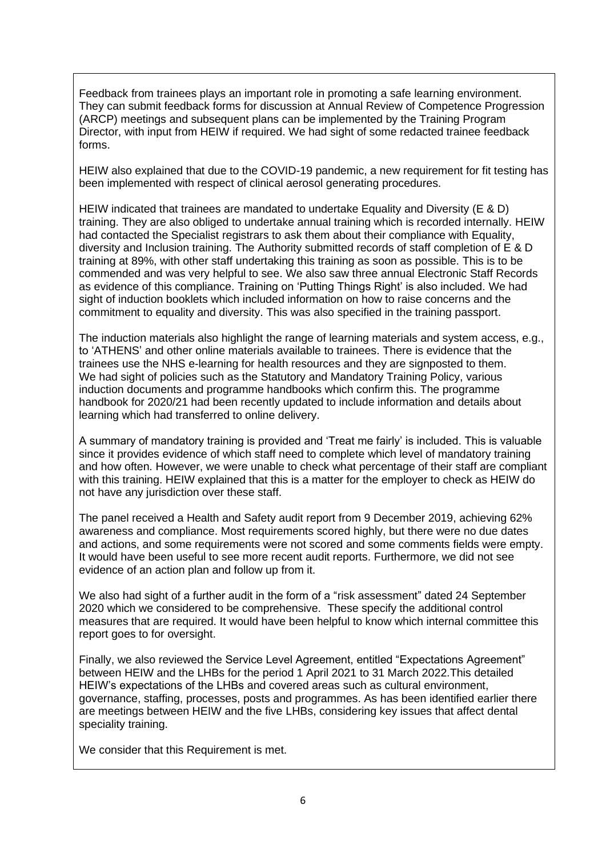Feedback from trainees plays an important role in promoting a safe learning environment. They can submit feedback forms for discussion at Annual Review of Competence Progression (ARCP) meetings and subsequent plans can be implemented by the Training Program Director, with input from HEIW if required. We had sight of some redacted trainee feedback forms.

HEIW also explained that due to the COVID-19 pandemic, a new requirement for fit testing has been implemented with respect of clinical aerosol generating procedures.

HEIW indicated that trainees are mandated to undertake Equality and Diversity (E & D) training. They are also obliged to undertake annual training which is recorded internally. HEIW had contacted the Specialist registrars to ask them about their compliance with Equality, diversity and Inclusion training. The Authority submitted records of staff completion of E & D training at 89%, with other staff undertaking this training as soon as possible. This is to be commended and was very helpful to see. We also saw three annual Electronic Staff Records as evidence of this compliance. Training on 'Putting Things Right' is also included. We had sight of induction booklets which included information on how to raise concerns and the commitment to equality and diversity. This was also specified in the training passport.

The induction materials also highlight the range of learning materials and system access, e.g., to 'ATHENS' and other online materials available to trainees. There is evidence that the trainees use the NHS e-learning for health resources and they are signposted to them. We had sight of policies such as the Statutory and Mandatory Training Policy, various induction documents and programme handbooks which confirm this. The programme handbook for 2020/21 had been recently updated to include information and details about learning which had transferred to online delivery.

A summary of mandatory training is provided and 'Treat me fairly' is included. This is valuable since it provides evidence of which staff need to complete which level of mandatory training and how often. However, we were unable to check what percentage of their staff are compliant with this training. HEIW explained that this is a matter for the employer to check as HEIW do not have any jurisdiction over these staff.

The panel received a Health and Safety audit report from 9 December 2019, achieving 62% awareness and compliance. Most requirements scored highly, but there were no due dates and actions, and some requirements were not scored and some comments fields were empty. It would have been useful to see more recent audit reports. Furthermore, we did not see evidence of an action plan and follow up from it.

We also had sight of a further audit in the form of a "risk assessment" dated 24 September 2020 which we considered to be comprehensive. These specify the additional control measures that are required. It would have been helpful to know which internal committee this report goes to for oversight.

Finally, we also reviewed the Service Level Agreement, entitled "Expectations Agreement" between HEIW and the LHBs for the period 1 April 2021 to 31 March 2022.This detailed HEIW's expectations of the LHBs and covered areas such as cultural environment, governance, staffing, processes, posts and programmes. As has been identified earlier there are meetings between HEIW and the five LHBs, considering key issues that affect dental speciality training.

We consider that this Requirement is met.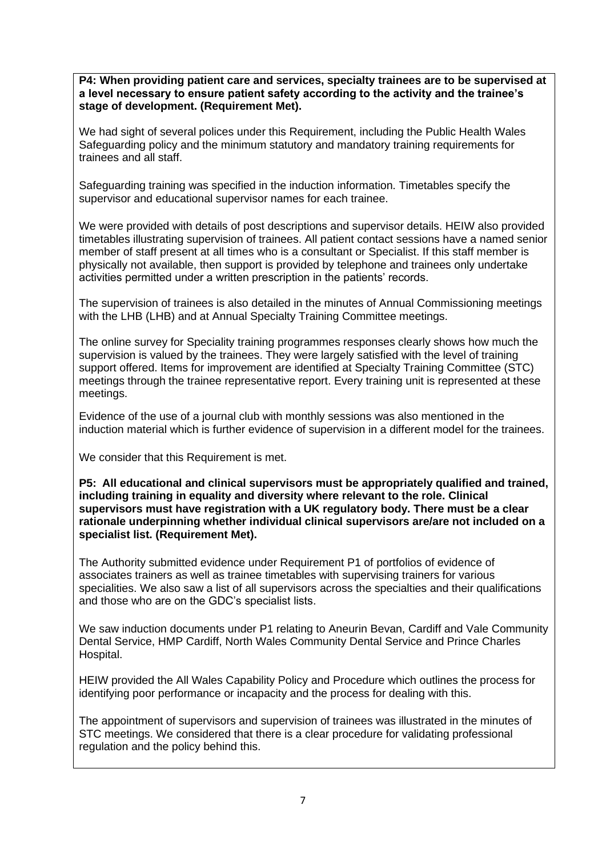**P4: When providing patient care and services, specialty trainees are to be supervised at a level necessary to ensure patient safety according to the activity and the trainee's stage of development. (Requirement Met).**

We had sight of several polices under this Requirement, including the Public Health Wales Safeguarding policy and the minimum statutory and mandatory training requirements for trainees and all staff.

Safeguarding training was specified in the induction information. Timetables specify the supervisor and educational supervisor names for each trainee.

We were provided with details of post descriptions and supervisor details. HEIW also provided timetables illustrating supervision of trainees. All patient contact sessions have a named senior member of staff present at all times who is a consultant or Specialist. If this staff member is physically not available, then support is provided by telephone and trainees only undertake activities permitted under a written prescription in the patients' records.

The supervision of trainees is also detailed in the minutes of Annual Commissioning meetings with the LHB (LHB) and at Annual Specialty Training Committee meetings.

The online survey for Speciality training programmes responses clearly shows how much the supervision is valued by the trainees. They were largely satisfied with the level of training support offered. Items for improvement are identified at Specialty Training Committee (STC) meetings through the trainee representative report. Every training unit is represented at these meetings.

Evidence of the use of a journal club with monthly sessions was also mentioned in the induction material which is further evidence of supervision in a different model for the trainees.

We consider that this Requirement is met.

**P5: All educational and clinical supervisors must be appropriately qualified and trained, including training in equality and diversity where relevant to the role. Clinical supervisors must have registration with a UK regulatory body. There must be a clear rationale underpinning whether individual clinical supervisors are/are not included on a specialist list. (Requirement Met).**

The Authority submitted evidence under Requirement P1 of portfolios of evidence of associates trainers as well as trainee timetables with supervising trainers for various specialities. We also saw a list of all supervisors across the specialties and their qualifications and those who are on the GDC's specialist lists.

We saw induction documents under P1 relating to Aneurin Bevan, Cardiff and Vale Community Dental Service, HMP Cardiff, North Wales Community Dental Service and Prince Charles Hospital.

HEIW provided the All Wales Capability Policy and Procedure which outlines the process for identifying poor performance or incapacity and the process for dealing with this.

The appointment of supervisors and supervision of trainees was illustrated in the minutes of STC meetings. We considered that there is a clear procedure for validating professional regulation and the policy behind this.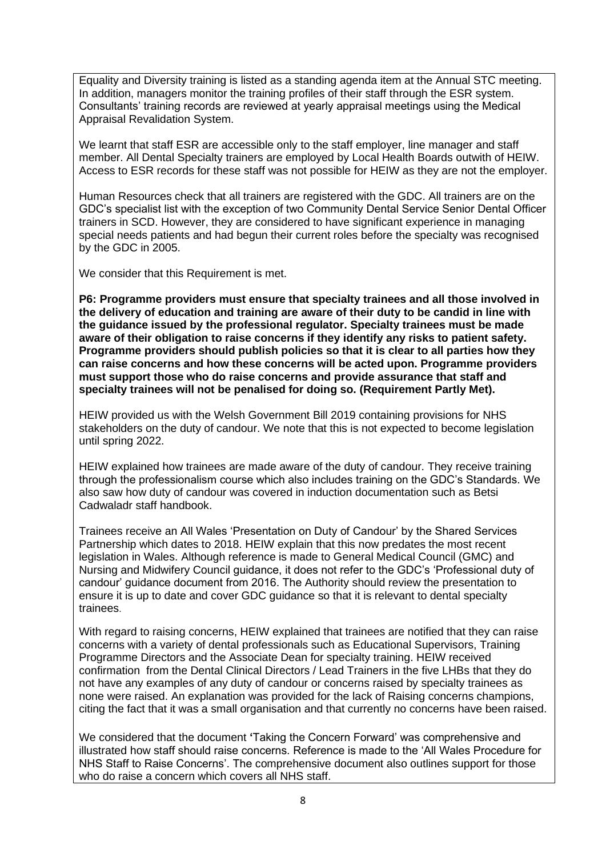Equality and Diversity training is listed as a standing agenda item at the Annual STC meeting. In addition, managers monitor the training profiles of their staff through the ESR system. Consultants' training records are reviewed at yearly appraisal meetings using the Medical Appraisal Revalidation System.

We learnt that staff ESR are accessible only to the staff employer, line manager and staff member. All Dental Specialty trainers are employed by Local Health Boards outwith of HEIW. Access to ESR records for these staff was not possible for HEIW as they are not the employer.

Human Resources check that all trainers are registered with the GDC. All trainers are on the GDC's specialist list with the exception of two Community Dental Service Senior Dental Officer trainers in SCD. However, they are considered to have significant experience in managing special needs patients and had begun their current roles before the specialty was recognised by the GDC in 2005.

We consider that this Requirement is met.

**P6: Programme providers must ensure that specialty trainees and all those involved in the delivery of education and training are aware of their duty to be candid in line with the guidance issued by the professional regulator. Specialty trainees must be made aware of their obligation to raise concerns if they identify any risks to patient safety. Programme providers should publish policies so that it is clear to all parties how they can raise concerns and how these concerns will be acted upon. Programme providers must support those who do raise concerns and provide assurance that staff and specialty trainees will not be penalised for doing so. (Requirement Partly Met).**

HEIW provided us with the Welsh Government Bill 2019 containing provisions for NHS stakeholders on the duty of candour. We note that this is not expected to become legislation until spring 2022.

HEIW explained how trainees are made aware of the duty of candour. They receive training through the professionalism course which also includes training on the GDC's Standards. We also saw how duty of candour was covered in induction documentation such as Betsi Cadwaladr staff handbook.

Trainees receive an All Wales 'Presentation on Duty of Candour' by the Shared Services Partnership which dates to 2018. HEIW explain that this now predates the most recent legislation in Wales. Although reference is made to General Medical Council (GMC) and Nursing and Midwifery Council guidance, it does not refer to the GDC's 'Professional duty of candour' guidance document from 2016. The Authority should review the presentation to ensure it is up to date and cover GDC guidance so that it is relevant to dental specialty trainees.

With regard to raising concerns, HEIW explained that trainees are notified that they can raise concerns with a variety of dental professionals such as Educational Supervisors, Training Programme Directors and the Associate Dean for specialty training. HEIW received confirmation from the Dental Clinical Directors / Lead Trainers in the five LHBs that they do not have any examples of any duty of candour or concerns raised by specialty trainees as none were raised. An explanation was provided for the lack of Raising concerns champions, citing the fact that it was a small organisation and that currently no concerns have been raised.

We considered that the document **'**Taking the Concern Forward' was comprehensive and illustrated how staff should raise concerns. Reference is made to the 'All Wales Procedure for NHS Staff to Raise Concerns'. The comprehensive document also outlines support for those who do raise a concern which covers all NHS staff.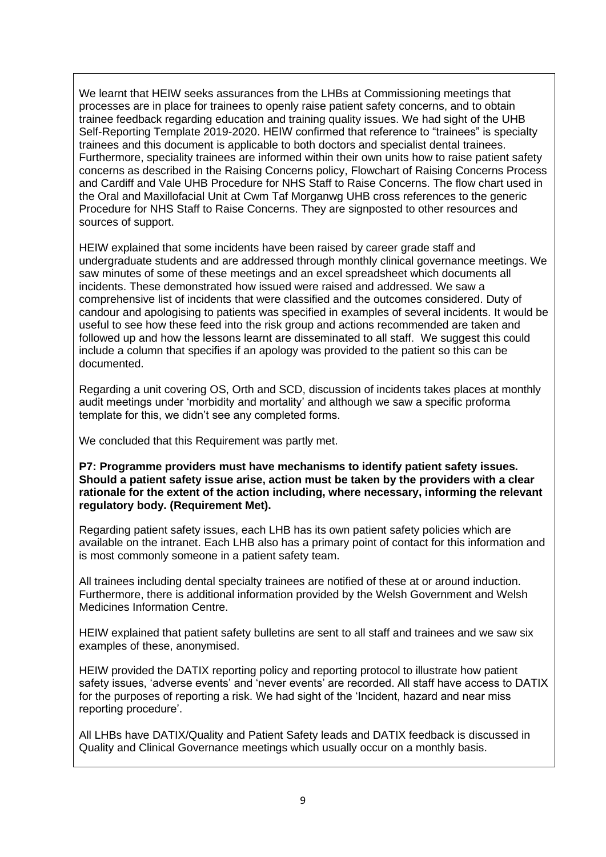We learnt that HEIW seeks assurances from the LHBs at Commissioning meetings that processes are in place for trainees to openly raise patient safety concerns, and to obtain trainee feedback regarding education and training quality issues. We had sight of the UHB Self-Reporting Template 2019-2020. HEIW confirmed that reference to "trainees" is specialty trainees and this document is applicable to both doctors and specialist dental trainees. Furthermore, speciality trainees are informed within their own units how to raise patient safety concerns as described in the Raising Concerns policy, Flowchart of Raising Concerns Process and Cardiff and Vale UHB Procedure for NHS Staff to Raise Concerns. The flow chart used in the Oral and Maxillofacial Unit at Cwm Taf Morganwg UHB cross references to the generic Procedure for NHS Staff to Raise Concerns. They are signposted to other resources and sources of support.

HEIW explained that some incidents have been raised by career grade staff and undergraduate students and are addressed through monthly clinical governance meetings. We saw minutes of some of these meetings and an excel spreadsheet which documents all incidents. These demonstrated how issued were raised and addressed. We saw a comprehensive list of incidents that were classified and the outcomes considered. Duty of candour and apologising to patients was specified in examples of several incidents. It would be useful to see how these feed into the risk group and actions recommended are taken and followed up and how the lessons learnt are disseminated to all staff. We suggest this could include a column that specifies if an apology was provided to the patient so this can be documented.

Regarding a unit covering OS, Orth and SCD, discussion of incidents takes places at monthly audit meetings under 'morbidity and mortality' and although we saw a specific proforma template for this, we didn't see any completed forms.

We concluded that this Requirement was partly met.

**P7: Programme providers must have mechanisms to identify patient safety issues. Should a patient safety issue arise, action must be taken by the providers with a clear rationale for the extent of the action including, where necessary, informing the relevant regulatory body. (Requirement Met).**

Regarding patient safety issues, each LHB has its own patient safety policies which are available on the intranet. Each LHB also has a primary point of contact for this information and is most commonly someone in a patient safety team.

All trainees including dental specialty trainees are notified of these at or around induction. Furthermore, there is additional information provided by the Welsh Government and Welsh Medicines Information Centre.

HEIW explained that patient safety bulletins are sent to all staff and trainees and we saw six examples of these, anonymised.

HEIW provided the DATIX reporting policy and reporting protocol to illustrate how patient safety issues, 'adverse events' and 'never events' are recorded. All staff have access to DATIX for the purposes of reporting a risk. We had sight of the 'Incident, hazard and near miss reporting procedure'.

All LHBs have DATIX/Quality and Patient Safety leads and DATIX feedback is discussed in Quality and Clinical Governance meetings which usually occur on a monthly basis.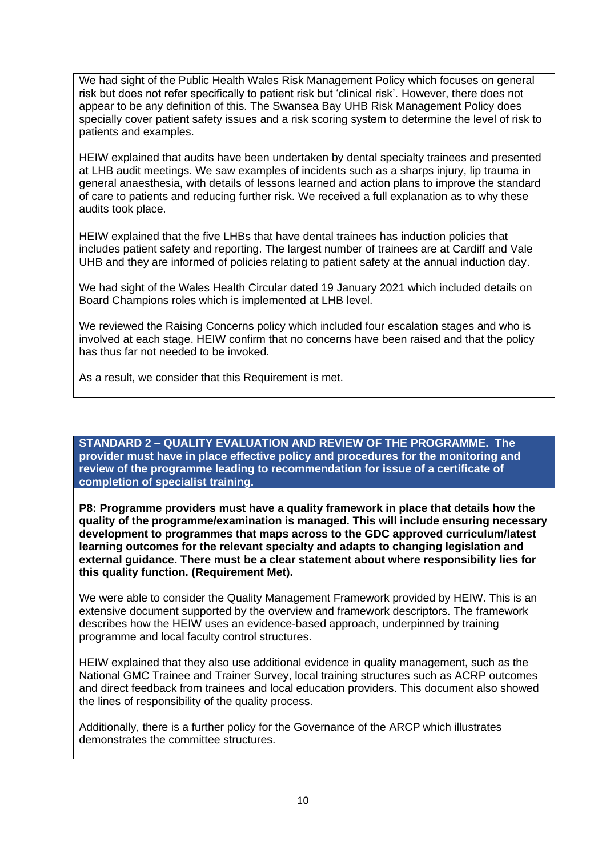We had sight of the Public Health Wales Risk Management Policy which focuses on general risk but does not refer specifically to patient risk but 'clinical risk'. However, there does not appear to be any definition of this. The Swansea Bay UHB Risk Management Policy does specially cover patient safety issues and a risk scoring system to determine the level of risk to patients and examples.

HEIW explained that audits have been undertaken by dental specialty trainees and presented at LHB audit meetings. We saw examples of incidents such as a sharps injury, lip trauma in general anaesthesia, with details of lessons learned and action plans to improve the standard of care to patients and reducing further risk. We received a full explanation as to why these audits took place.

HEIW explained that the five LHBs that have dental trainees has induction policies that includes patient safety and reporting. The largest number of trainees are at Cardiff and Vale UHB and they are informed of policies relating to patient safety at the annual induction day.

We had sight of the Wales Health Circular dated 19 January 2021 which included details on Board Champions roles which is implemented at LHB level.

We reviewed the Raising Concerns policy which included four escalation stages and who is involved at each stage. HEIW confirm that no concerns have been raised and that the policy has thus far not needed to be invoked.

As a result, we consider that this Requirement is met.

**STANDARD 2 – QUALITY EVALUATION AND REVIEW OF THE PROGRAMME. The provider must have in place effective policy and procedures for the monitoring and review of the programme leading to recommendation for issue of a certificate of completion of specialist training.**

**P8: Programme providers must have a quality framework in place that details how the quality of the programme/examination is managed. This will include ensuring necessary development to programmes that maps across to the GDC approved curriculum/latest learning outcomes for the relevant specialty and adapts to changing legislation and external guidance. There must be a clear statement about where responsibility lies for this quality function. (Requirement Met).**

We were able to consider the Quality Management Framework provided by HEIW. This is an extensive document supported by the overview and framework descriptors. The framework describes how the HEIW uses an evidence-based approach, underpinned by training programme and local faculty control structures.

HEIW explained that they also use additional evidence in quality management, such as the National GMC Trainee and Trainer Survey, local training structures such as ACRP outcomes and direct feedback from trainees and local education providers. This document also showed the lines of responsibility of the quality process.

Additionally, there is a further policy for the Governance of the ARCP which illustrates demonstrates the committee structures.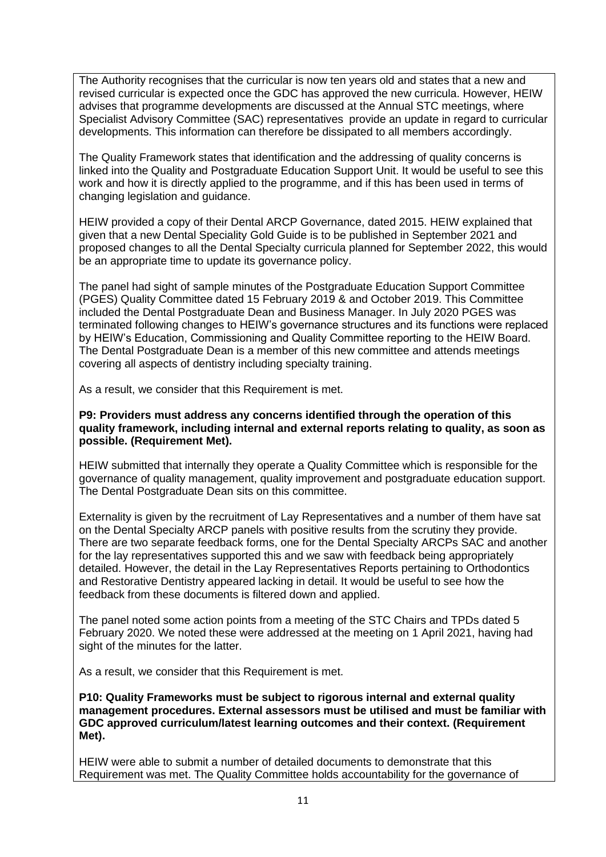The Authority recognises that the curricular is now ten years old and states that a new and revised curricular is expected once the GDC has approved the new curricula. However, HEIW advises that programme developments are discussed at the Annual STC meetings, where Specialist Advisory Committee (SAC) representatives provide an update in regard to curricular developments. This information can therefore be dissipated to all members accordingly.

The Quality Framework states that identification and the addressing of quality concerns is linked into the Quality and Postgraduate Education Support Unit. It would be useful to see this work and how it is directly applied to the programme, and if this has been used in terms of changing legislation and guidance.

HEIW provided a copy of their Dental ARCP Governance, dated 2015. HEIW explained that given that a new Dental Speciality Gold Guide is to be published in September 2021 and proposed changes to all the Dental Specialty curricula planned for September 2022, this would be an appropriate time to update its governance policy.

The panel had sight of sample minutes of the Postgraduate Education Support Committee (PGES) Quality Committee dated 15 February 2019 & and October 2019. This Committee included the Dental Postgraduate Dean and Business Manager. In July 2020 PGES was terminated following changes to HEIW's governance structures and its functions were replaced by HEIW's Education, Commissioning and Quality Committee reporting to the HEIW Board. The Dental Postgraduate Dean is a member of this new committee and attends meetings covering all aspects of dentistry including specialty training.

As a result, we consider that this Requirement is met.

### **P9: Providers must address any concerns identified through the operation of this quality framework, including internal and external reports relating to quality, as soon as possible. (Requirement Met).**

HEIW submitted that internally they operate a Quality Committee which is responsible for the governance of quality management, quality improvement and postgraduate education support. The Dental Postgraduate Dean sits on this committee.

Externality is given by the recruitment of Lay Representatives and a number of them have sat on the Dental Specialty ARCP panels with positive results from the scrutiny they provide. There are two separate feedback forms, one for the Dental Specialty ARCPs SAC and another for the lay representatives supported this and we saw with feedback being appropriately detailed. However, the detail in the Lay Representatives Reports pertaining to Orthodontics and Restorative Dentistry appeared lacking in detail. It would be useful to see how the feedback from these documents is filtered down and applied.

The panel noted some action points from a meeting of the STC Chairs and TPDs dated 5 February 2020. We noted these were addressed at the meeting on 1 April 2021, having had sight of the minutes for the latter.

As a result, we consider that this Requirement is met.

**P10: Quality Frameworks must be subject to rigorous internal and external quality management procedures. External assessors must be utilised and must be familiar with GDC approved curriculum/latest learning outcomes and their context. (Requirement Met).**

HEIW were able to submit a number of detailed documents to demonstrate that this Requirement was met. The Quality Committee holds accountability for the governance of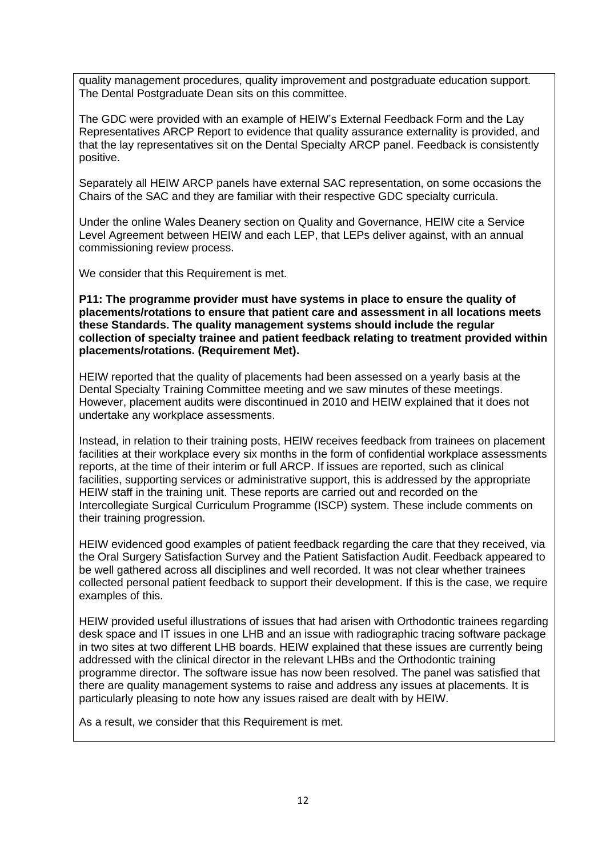quality management procedures, quality improvement and postgraduate education support. The Dental Postgraduate Dean sits on this committee.

The GDC were provided with an example of HEIW's External Feedback Form and the Lay Representatives ARCP Report to evidence that quality assurance externality is provided, and that the lay representatives sit on the Dental Specialty ARCP panel. Feedback is consistently positive.

Separately all HEIW ARCP panels have external SAC representation, on some occasions the Chairs of the SAC and they are familiar with their respective GDC specialty curricula.

Under the online Wales Deanery section on Quality and Governance, HEIW cite a Service Level Agreement between HEIW and each LEP, that LEPs deliver against, with an annual commissioning review process.

We consider that this Requirement is met.

**P11: The programme provider must have systems in place to ensure the quality of placements/rotations to ensure that patient care and assessment in all locations meets these Standards. The quality management systems should include the regular collection of specialty trainee and patient feedback relating to treatment provided within placements/rotations. (Requirement Met).**

HEIW reported that the quality of placements had been assessed on a yearly basis at the Dental Specialty Training Committee meeting and we saw minutes of these meetings. However, placement audits were discontinued in 2010 and HEIW explained that it does not undertake any workplace assessments.

Instead, in relation to their training posts, HEIW receives feedback from trainees on placement facilities at their workplace every six months in the form of confidential workplace assessments reports, at the time of their interim or full ARCP. If issues are reported, such as clinical facilities, supporting services or administrative support, this is addressed by the appropriate HEIW staff in the training unit. These reports are carried out and recorded on the Intercollegiate Surgical Curriculum Programme (ISCP) system. These include comments on their training progression.

HEIW evidenced good examples of patient feedback regarding the care that they received, via the Oral Surgery Satisfaction Survey and the Patient Satisfaction Audit. Feedback appeared to be well gathered across all disciplines and well recorded. It was not clear whether trainees collected personal patient feedback to support their development. If this is the case, we require examples of this.

HEIW provided useful illustrations of issues that had arisen with Orthodontic trainees regarding desk space and IT issues in one LHB and an issue with radiographic tracing software package in two sites at two different LHB boards. HEIW explained that these issues are currently being addressed with the clinical director in the relevant LHBs and the Orthodontic training programme director. The software issue has now been resolved. The panel was satisfied that there are quality management systems to raise and address any issues at placements. It is particularly pleasing to note how any issues raised are dealt with by HEIW.

As a result, we consider that this Requirement is met.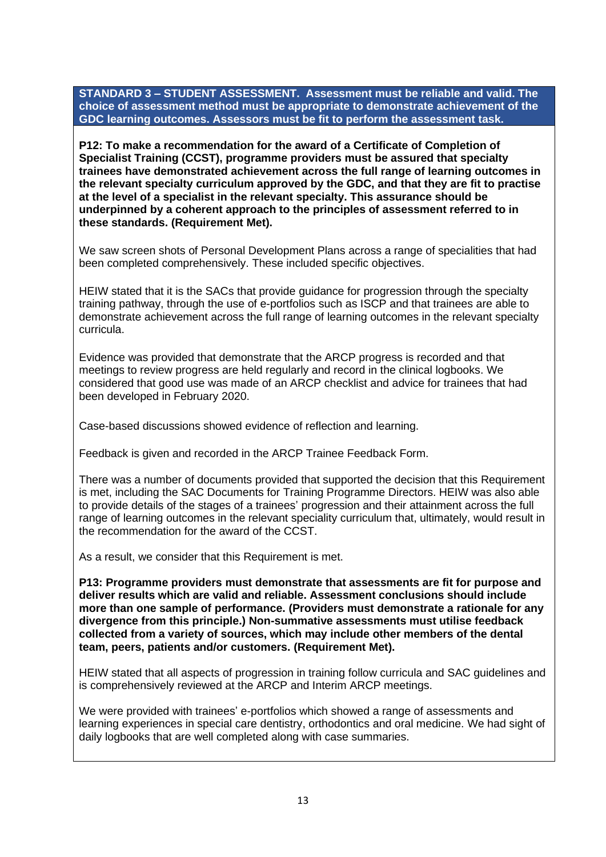**STANDARD 3 – STUDENT ASSESSMENT. Assessment must be reliable and valid. The choice of assessment method must be appropriate to demonstrate achievement of the GDC learning outcomes. Assessors must be fit to perform the assessment task.**

**P12: To make a recommendation for the award of a Certificate of Completion of Specialist Training (CCST), programme providers must be assured that specialty trainees have demonstrated achievement across the full range of learning outcomes in the relevant specialty curriculum approved by the GDC, and that they are fit to practise at the level of a specialist in the relevant specialty. This assurance should be underpinned by a coherent approach to the principles of assessment referred to in these standards. (Requirement Met).**

We saw screen shots of Personal Development Plans across a range of specialities that had been completed comprehensively. These included specific objectives.

HEIW stated that it is the SACs that provide guidance for progression through the specialty training pathway, through the use of e-portfolios such as ISCP and that trainees are able to demonstrate achievement across the full range of learning outcomes in the relevant specialty curricula.

Evidence was provided that demonstrate that the ARCP progress is recorded and that meetings to review progress are held regularly and record in the clinical logbooks. We considered that good use was made of an ARCP checklist and advice for trainees that had been developed in February 2020.

Case-based discussions showed evidence of reflection and learning.

Feedback is given and recorded in the ARCP Trainee Feedback Form.

There was a number of documents provided that supported the decision that this Requirement is met, including the SAC Documents for Training Programme Directors. HEIW was also able to provide details of the stages of a trainees' progression and their attainment across the full range of learning outcomes in the relevant speciality curriculum that, ultimately, would result in the recommendation for the award of the CCST.

As a result, we consider that this Requirement is met.

**P13: Programme providers must demonstrate that assessments are fit for purpose and deliver results which are valid and reliable. Assessment conclusions should include more than one sample of performance. (Providers must demonstrate a rationale for any divergence from this principle.) Non-summative assessments must utilise feedback collected from a variety of sources, which may include other members of the dental team, peers, patients and/or customers. (Requirement Met).**

HEIW stated that all aspects of progression in training follow curricula and SAC guidelines and is comprehensively reviewed at the ARCP and Interim ARCP meetings.

We were provided with trainees' e-portfolios which showed a range of assessments and learning experiences in special care dentistry, orthodontics and oral medicine. We had sight of daily logbooks that are well completed along with case summaries.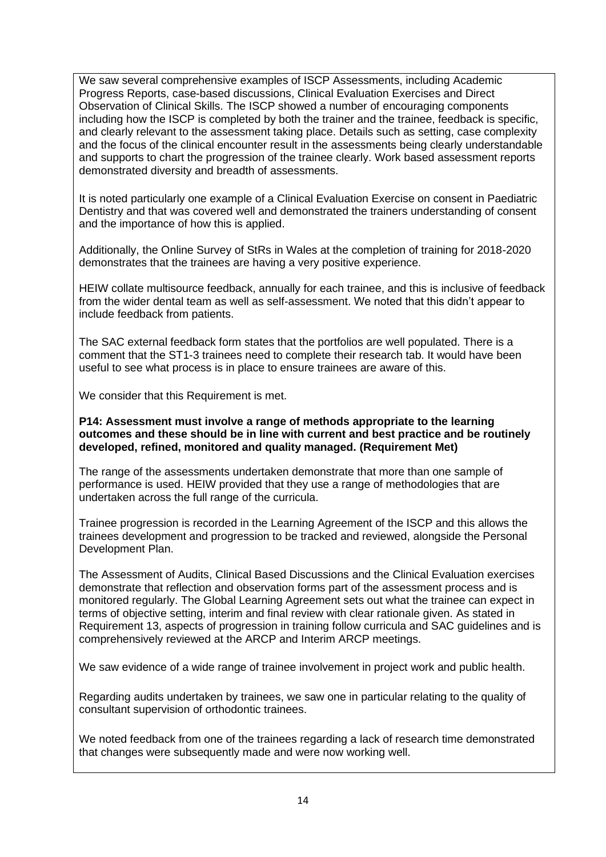We saw several comprehensive examples of ISCP Assessments, including Academic Progress Reports, case-based discussions, Clinical Evaluation Exercises and Direct Observation of Clinical Skills. The ISCP showed a number of encouraging components including how the ISCP is completed by both the trainer and the trainee, feedback is specific, and clearly relevant to the assessment taking place. Details such as setting, case complexity and the focus of the clinical encounter result in the assessments being clearly understandable and supports to chart the progression of the trainee clearly. Work based assessment reports demonstrated diversity and breadth of assessments.

It is noted particularly one example of a Clinical Evaluation Exercise on consent in Paediatric Dentistry and that was covered well and demonstrated the trainers understanding of consent and the importance of how this is applied.

Additionally, the Online Survey of StRs in Wales at the completion of training for 2018-2020 demonstrates that the trainees are having a very positive experience.

HEIW collate multisource feedback, annually for each trainee, and this is inclusive of feedback from the wider dental team as well as self-assessment. We noted that this didn't appear to include feedback from patients.

The SAC external feedback form states that the portfolios are well populated. There is a comment that the ST1-3 trainees need to complete their research tab. It would have been useful to see what process is in place to ensure trainees are aware of this.

We consider that this Requirement is met.

### **P14: Assessment must involve a range of methods appropriate to the learning outcomes and these should be in line with current and best practice and be routinely developed, refined, monitored and quality managed. (Requirement Met)**

The range of the assessments undertaken demonstrate that more than one sample of performance is used. HEIW provided that they use a range of methodologies that are undertaken across the full range of the curricula.

Trainee progression is recorded in the Learning Agreement of the ISCP and this allows the trainees development and progression to be tracked and reviewed, alongside the Personal Development Plan.

The Assessment of Audits, Clinical Based Discussions and the Clinical Evaluation exercises demonstrate that reflection and observation forms part of the assessment process and is monitored regularly. The Global Learning Agreement sets out what the trainee can expect in terms of objective setting, interim and final review with clear rationale given. As stated in Requirement 13, aspects of progression in training follow curricula and SAC guidelines and is comprehensively reviewed at the ARCP and Interim ARCP meetings.

We saw evidence of a wide range of trainee involvement in project work and public health.

Regarding audits undertaken by trainees, we saw one in particular relating to the quality of consultant supervision of orthodontic trainees.

We noted feedback from one of the trainees regarding a lack of research time demonstrated that changes were subsequently made and were now working well.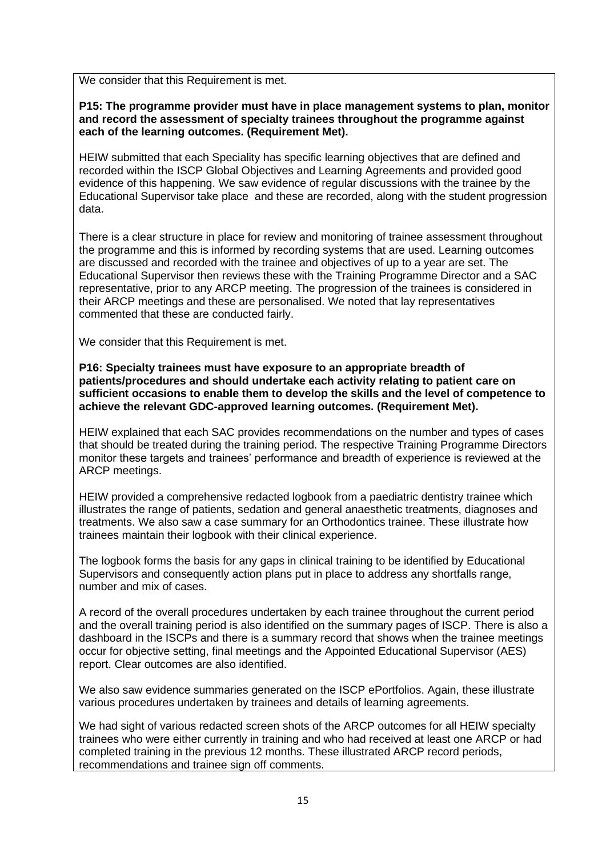We consider that this Requirement is met.

**P15: The programme provider must have in place management systems to plan, monitor and record the assessment of specialty trainees throughout the programme against each of the learning outcomes. (Requirement Met).**

HEIW submitted that each Speciality has specific learning objectives that are defined and recorded within the ISCP Global Objectives and Learning Agreements and provided good evidence of this happening. We saw evidence of regular discussions with the trainee by the Educational Supervisor take place and these are recorded, along with the student progression data.

There is a clear structure in place for review and monitoring of trainee assessment throughout the programme and this is informed by recording systems that are used. Learning outcomes are discussed and recorded with the trainee and objectives of up to a year are set. The Educational Supervisor then reviews these with the Training Programme Director and a SAC representative, prior to any ARCP meeting. The progression of the trainees is considered in their ARCP meetings and these are personalised. We noted that lay representatives commented that these are conducted fairly.

We consider that this Requirement is met.

**P16: Specialty trainees must have exposure to an appropriate breadth of patients/procedures and should undertake each activity relating to patient care on sufficient occasions to enable them to develop the skills and the level of competence to achieve the relevant GDC-approved learning outcomes. (Requirement Met).**

HEIW explained that each SAC provides recommendations on the number and types of cases that should be treated during the training period. The respective Training Programme Directors monitor these targets and trainees' performance and breadth of experience is reviewed at the ARCP meetings.

HEIW provided a comprehensive redacted logbook from a paediatric dentistry trainee which illustrates the range of patients, sedation and general anaesthetic treatments, diagnoses and treatments. We also saw a case summary for an Orthodontics trainee. These illustrate how trainees maintain their logbook with their clinical experience.

The logbook forms the basis for any gaps in clinical training to be identified by Educational Supervisors and consequently action plans put in place to address any shortfalls range, number and mix of cases.

A record of the overall procedures undertaken by each trainee throughout the current period and the overall training period is also identified on the summary pages of ISCP. There is also a dashboard in the ISCPs and there is a summary record that shows when the trainee meetings occur for objective setting, final meetings and the Appointed Educational Supervisor (AES) report. Clear outcomes are also identified.

We also saw evidence summaries generated on the ISCP ePortfolios. Again, these illustrate various procedures undertaken by trainees and details of learning agreements.

We had sight of various redacted screen shots of the ARCP outcomes for all HEIW specialty trainees who were either currently in training and who had received at least one ARCP or had completed training in the previous 12 months. These illustrated ARCP record periods, recommendations and trainee sign off comments.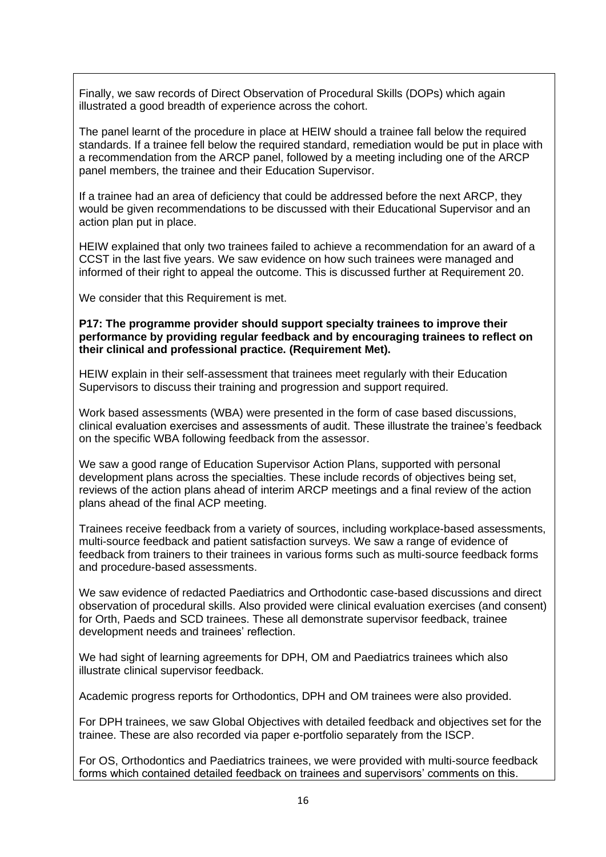Finally, we saw records of Direct Observation of Procedural Skills (DOPs) which again illustrated a good breadth of experience across the cohort.

The panel learnt of the procedure in place at HEIW should a trainee fall below the required standards. If a trainee fell below the required standard, remediation would be put in place with a recommendation from the ARCP panel, followed by a meeting including one of the ARCP panel members, the trainee and their Education Supervisor.

If a trainee had an area of deficiency that could be addressed before the next ARCP, they would be given recommendations to be discussed with their Educational Supervisor and an action plan put in place.

HEIW explained that only two trainees failed to achieve a recommendation for an award of a CCST in the last five years. We saw evidence on how such trainees were managed and informed of their right to appeal the outcome. This is discussed further at Requirement 20.

We consider that this Requirement is met.

#### **P17: The programme provider should support specialty trainees to improve their performance by providing regular feedback and by encouraging trainees to reflect on their clinical and professional practice. (Requirement Met).**

HEIW explain in their self-assessment that trainees meet regularly with their Education Supervisors to discuss their training and progression and support required.

Work based assessments (WBA) were presented in the form of case based discussions, clinical evaluation exercises and assessments of audit. These illustrate the trainee's feedback on the specific WBA following feedback from the assessor.

We saw a good range of Education Supervisor Action Plans, supported with personal development plans across the specialties. These include records of objectives being set, reviews of the action plans ahead of interim ARCP meetings and a final review of the action plans ahead of the final ACP meeting.

Trainees receive feedback from a variety of sources, including workplace-based assessments, multi-source feedback and patient satisfaction surveys. We saw a range of evidence of feedback from trainers to their trainees in various forms such as multi-source feedback forms and procedure-based assessments.

We saw evidence of redacted Paediatrics and Orthodontic case-based discussions and direct observation of procedural skills. Also provided were clinical evaluation exercises (and consent) for Orth, Paeds and SCD trainees. These all demonstrate supervisor feedback, trainee development needs and trainees' reflection.

We had sight of learning agreements for DPH, OM and Paediatrics trainees which also illustrate clinical supervisor feedback.

Academic progress reports for Orthodontics, DPH and OM trainees were also provided.

For DPH trainees, we saw Global Objectives with detailed feedback and objectives set for the trainee. These are also recorded via paper e-portfolio separately from the ISCP.

For OS, Orthodontics and Paediatrics trainees, we were provided with multi-source feedback forms which contained detailed feedback on trainees and supervisors' comments on this.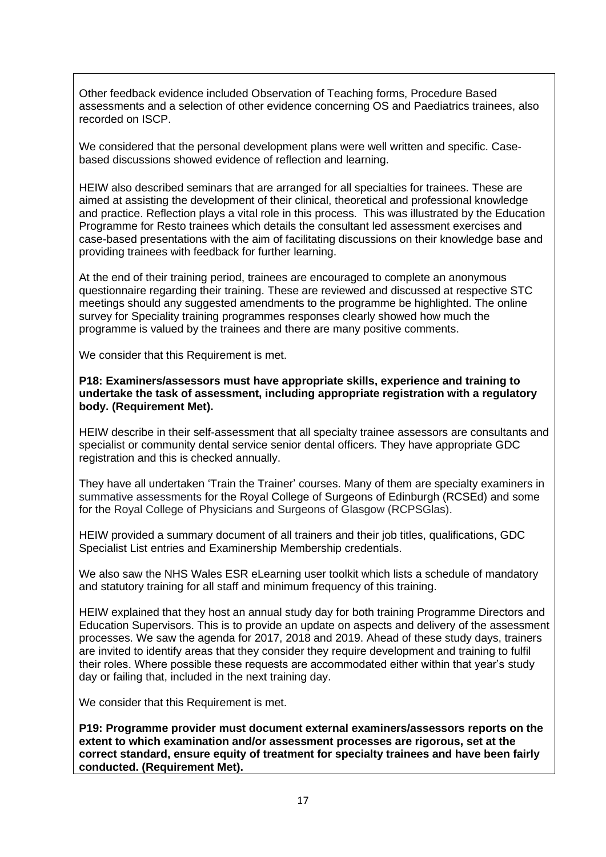Other feedback evidence included Observation of Teaching forms, Procedure Based assessments and a selection of other evidence concerning OS and Paediatrics trainees, also recorded on ISCP.

We considered that the personal development plans were well written and specific. Casebased discussions showed evidence of reflection and learning.

HEIW also described seminars that are arranged for all specialties for trainees. These are aimed at assisting the development of their clinical, theoretical and professional knowledge and practice. Reflection plays a vital role in this process. This was illustrated by the Education Programme for Resto trainees which details the consultant led assessment exercises and case-based presentations with the aim of facilitating discussions on their knowledge base and providing trainees with feedback for further learning.

At the end of their training period, trainees are encouraged to complete an anonymous questionnaire regarding their training. These are reviewed and discussed at respective STC meetings should any suggested amendments to the programme be highlighted. The online survey for Speciality training programmes responses clearly showed how much the programme is valued by the trainees and there are many positive comments.

We consider that this Requirement is met.

### **P18: Examiners/assessors must have appropriate skills, experience and training to undertake the task of assessment, including appropriate registration with a regulatory body. (Requirement Met).**

HEIW describe in their self-assessment that all specialty trainee assessors are consultants and specialist or community dental service senior dental officers. They have appropriate GDC registration and this is checked annually.

They have all undertaken 'Train the Trainer' courses. Many of them are specialty examiners in summative assessments for the Royal College of Surgeons of Edinburgh (RCSEd) and some for the Royal College of Physicians and Surgeons of Glasgow (RCPSGlas).

HEIW provided a summary document of all trainers and their job titles, qualifications, GDC Specialist List entries and Examinership Membership credentials.

We also saw the NHS Wales ESR eLearning user toolkit which lists a schedule of mandatory and statutory training for all staff and minimum frequency of this training.

HEIW explained that they host an annual study day for both training Programme Directors and Education Supervisors. This is to provide an update on aspects and delivery of the assessment processes. We saw the agenda for 2017, 2018 and 2019. Ahead of these study days, trainers are invited to identify areas that they consider they require development and training to fulfil their roles. Where possible these requests are accommodated either within that year's study day or failing that, included in the next training day.

We consider that this Requirement is met.

**P19: Programme provider must document external examiners/assessors reports on the extent to which examination and/or assessment processes are rigorous, set at the correct standard, ensure equity of treatment for specialty trainees and have been fairly conducted. (Requirement Met).**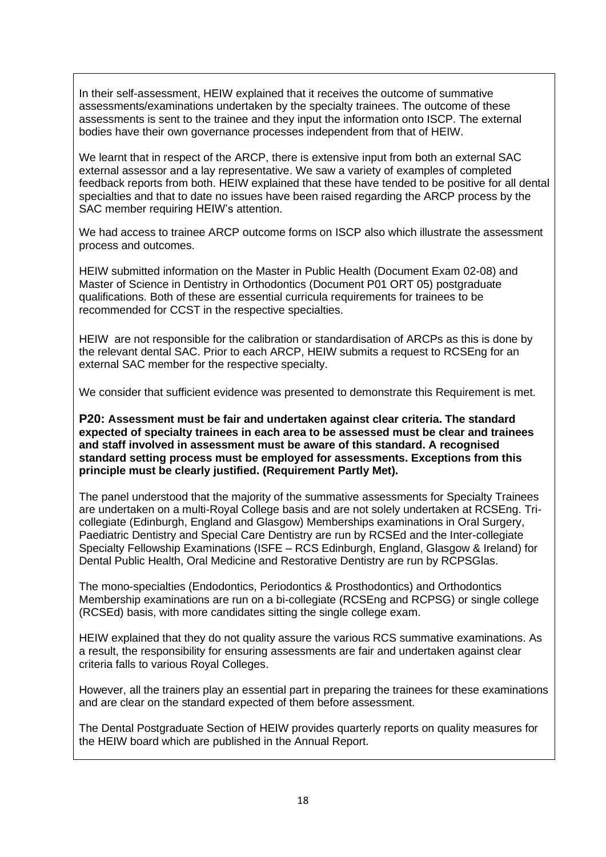In their self-assessment, HEIW explained that it receives the outcome of summative assessments/examinations undertaken by the specialty trainees. The outcome of these assessments is sent to the trainee and they input the information onto ISCP. The external bodies have their own governance processes independent from that of HEIW.

We learnt that in respect of the ARCP, there is extensive input from both an external SAC external assessor and a lay representative. We saw a variety of examples of completed feedback reports from both. HEIW explained that these have tended to be positive for all dental specialties and that to date no issues have been raised regarding the ARCP process by the SAC member requiring HEIW's attention.

We had access to trainee ARCP outcome forms on ISCP also which illustrate the assessment process and outcomes.

HEIW submitted information on the Master in Public Health (Document Exam 02-08) and Master of Science in Dentistry in Orthodontics (Document P01 ORT 05) postgraduate qualifications. Both of these are essential curricula requirements for trainees to be recommended for CCST in the respective specialties.

HEIW are not responsible for the calibration or standardisation of ARCPs as this is done by the relevant dental SAC. Prior to each ARCP, HEIW submits a request to RCSEng for an external SAC member for the respective specialty.

We consider that sufficient evidence was presented to demonstrate this Requirement is met.

**P20: Assessment must be fair and undertaken against clear criteria. The standard expected of specialty trainees in each area to be assessed must be clear and trainees and staff involved in assessment must be aware of this standard. A recognised standard setting process must be employed for assessments. Exceptions from this principle must be clearly justified. (Requirement Partly Met).**

The panel understood that the majority of the summative assessments for Specialty Trainees are undertaken on a multi-Royal College basis and are not solely undertaken at RCSEng. Tricollegiate (Edinburgh, England and Glasgow) Memberships examinations in Oral Surgery, Paediatric Dentistry and Special Care Dentistry are run by RCSEd and the Inter-collegiate Specialty Fellowship Examinations (ISFE – RCS Edinburgh, England, Glasgow & Ireland) for Dental Public Health, Oral Medicine and Restorative Dentistry are run by RCPSGlas.

The mono-specialties (Endodontics, Periodontics & Prosthodontics) and Orthodontics Membership examinations are run on a bi-collegiate (RCSEng and RCPSG) or single college (RCSEd) basis, with more candidates sitting the single college exam.

HEIW explained that they do not quality assure the various RCS summative examinations. As a result, the responsibility for ensuring assessments are fair and undertaken against clear criteria falls to various Royal Colleges.

However, all the trainers play an essential part in preparing the trainees for these examinations and are clear on the standard expected of them before assessment.

The Dental Postgraduate Section of HEIW provides quarterly reports on quality measures for the HEIW board which are published in the Annual Report.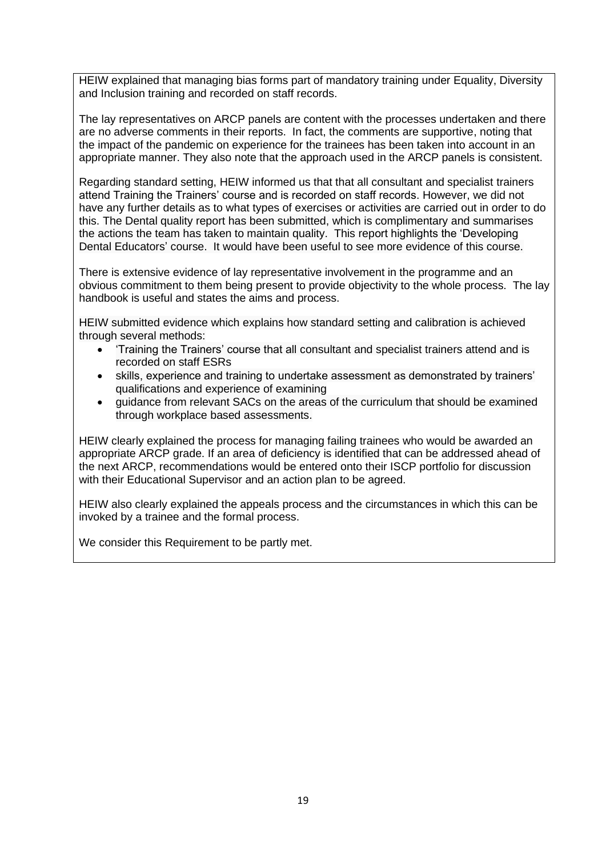HEIW explained that managing bias forms part of mandatory training under Equality, Diversity and Inclusion training and recorded on staff records.

The lay representatives on ARCP panels are content with the processes undertaken and there are no adverse comments in their reports. In fact, the comments are supportive, noting that the impact of the pandemic on experience for the trainees has been taken into account in an appropriate manner. They also note that the approach used in the ARCP panels is consistent.

Regarding standard setting, HEIW informed us that that all consultant and specialist trainers attend Training the Trainers' course and is recorded on staff records. However, we did not have any further details as to what types of exercises or activities are carried out in order to do this. The Dental quality report has been submitted, which is complimentary and summarises the actions the team has taken to maintain quality. This report highlights the 'Developing Dental Educators' course. It would have been useful to see more evidence of this course.

There is extensive evidence of lay representative involvement in the programme and an obvious commitment to them being present to provide objectivity to the whole process. The lay handbook is useful and states the aims and process.

HEIW submitted evidence which explains how standard setting and calibration is achieved through several methods:

- 'Training the Trainers' course that all consultant and specialist trainers attend and is recorded on staff ESRs
- skills, experience and training to undertake assessment as demonstrated by trainers' qualifications and experience of examining
- guidance from relevant SACs on the areas of the curriculum that should be examined through workplace based assessments.

HEIW clearly explained the process for managing failing trainees who would be awarded an appropriate ARCP grade. If an area of deficiency is identified that can be addressed ahead of the next ARCP, recommendations would be entered onto their ISCP portfolio for discussion with their Educational Supervisor and an action plan to be agreed.

HEIW also clearly explained the appeals process and the circumstances in which this can be invoked by a trainee and the formal process.

We consider this Requirement to be partly met.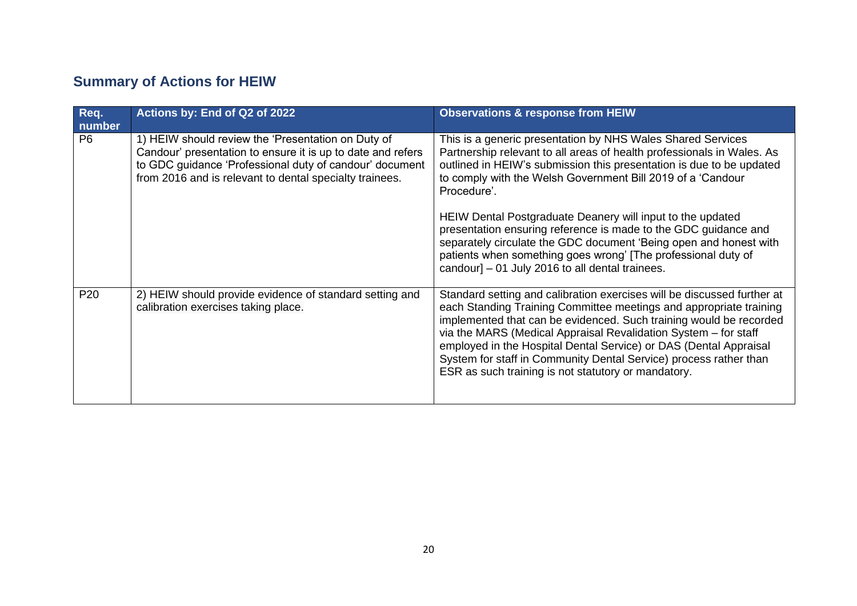# **Summary of Actions for HEIW**

| Req.<br>number  | Actions by: End of Q2 of 2022                                                                                                                                                                                                           | <b>Observations &amp; response from HEIW</b>                                                                                                                                                                                                                                                                                                                                                                                                                                            |
|-----------------|-----------------------------------------------------------------------------------------------------------------------------------------------------------------------------------------------------------------------------------------|-----------------------------------------------------------------------------------------------------------------------------------------------------------------------------------------------------------------------------------------------------------------------------------------------------------------------------------------------------------------------------------------------------------------------------------------------------------------------------------------|
| P <sub>6</sub>  | 1) HEIW should review the 'Presentation on Duty of<br>Candour' presentation to ensure it is up to date and refers<br>to GDC guidance 'Professional duty of candour' document<br>from 2016 and is relevant to dental specialty trainees. | This is a generic presentation by NHS Wales Shared Services<br>Partnership relevant to all areas of health professionals in Wales. As<br>outlined in HEIW's submission this presentation is due to be updated<br>to comply with the Welsh Government Bill 2019 of a 'Candour<br>Procedure'.                                                                                                                                                                                             |
|                 |                                                                                                                                                                                                                                         | HEIW Dental Postgraduate Deanery will input to the updated<br>presentation ensuring reference is made to the GDC guidance and<br>separately circulate the GDC document 'Being open and honest with<br>patients when something goes wrong' [The professional duty of<br>candour] – 01 July 2016 to all dental trainees.                                                                                                                                                                  |
| P <sub>20</sub> | 2) HEIW should provide evidence of standard setting and<br>calibration exercises taking place.                                                                                                                                          | Standard setting and calibration exercises will be discussed further at<br>each Standing Training Committee meetings and appropriate training<br>implemented that can be evidenced. Such training would be recorded<br>via the MARS (Medical Appraisal Revalidation System - for staff<br>employed in the Hospital Dental Service) or DAS (Dental Appraisal<br>System for staff in Community Dental Service) process rather than<br>ESR as such training is not statutory or mandatory. |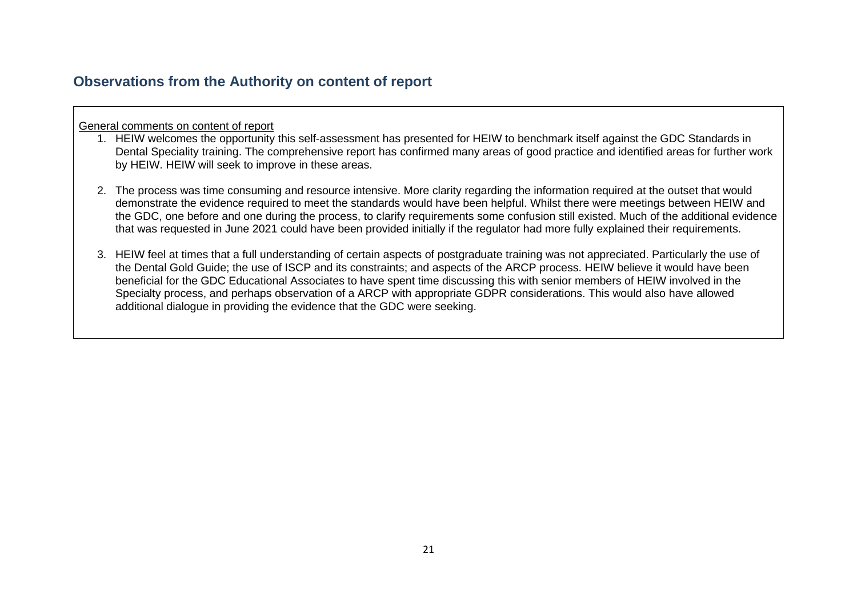### **Observations from the Authority on content of report**

General comments on content of report

- 1. HEIW welcomes the opportunity this self-assessment has presented for HEIW to benchmark itself against the GDC Standards in Dental Speciality training. The comprehensive report has confirmed many areas of good practice and identified areas for further work by HEIW. HEIW will seek to improve in these areas.
- 2. The process was time consuming and resource intensive. More clarity regarding the information required at the outset that would demonstrate the evidence required to meet the standards would have been helpful. Whilst there were meetings between HEIW and the GDC, one before and one during the process, to clarify requirements some confusion still existed. Much of the additional evidence that was requested in June 2021 could have been provided initially if the regulator had more fully explained their requirements.
- 3. HEIW feel at times that a full understanding of certain aspects of postgraduate training was not appreciated. Particularly the use of the Dental Gold Guide; the use of ISCP and its constraints; and aspects of the ARCP process. HEIW believe it would have been beneficial for the GDC Educational Associates to have spent time discussing this with senior members of HEIW involved in the Specialty process, and perhaps observation of a ARCP with appropriate GDPR considerations. This would also have allowed additional dialogue in providing the evidence that the GDC were seeking.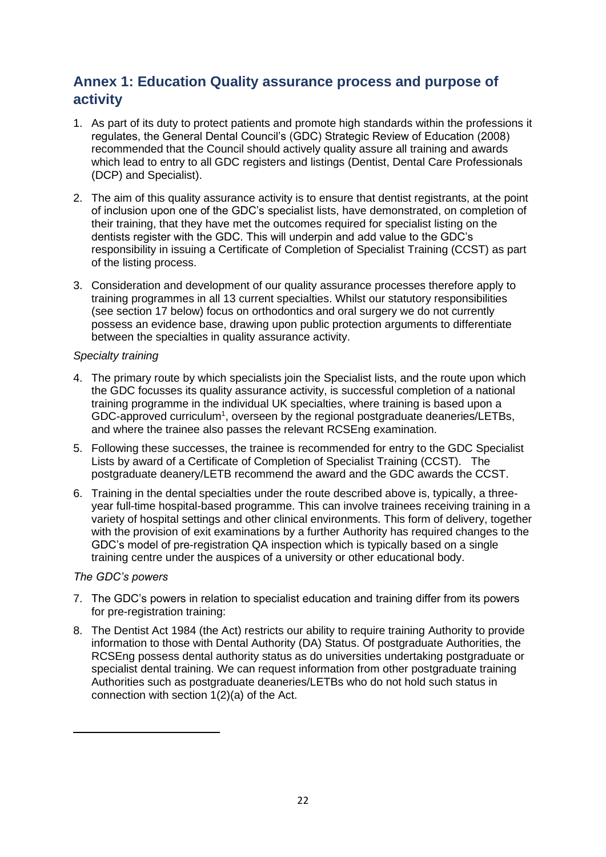### **Annex 1: Education Quality assurance process and purpose of activity**

- 1. As part of its duty to protect patients and promote high standards within the professions it regulates, the General Dental Council's (GDC) Strategic Review of Education (2008) recommended that the Council should actively quality assure all training and awards which lead to entry to all GDC registers and listings (Dentist, Dental Care Professionals (DCP) and Specialist).
- 2. The aim of this quality assurance activity is to ensure that dentist registrants, at the point of inclusion upon one of the GDC's specialist lists, have demonstrated, on completion of their training, that they have met the outcomes required for specialist listing on the dentists register with the GDC. This will underpin and add value to the GDC's responsibility in issuing a Certificate of Completion of Specialist Training (CCST) as part of the listing process.
- 3. Consideration and development of our quality assurance processes therefore apply to training programmes in all 13 current specialties. Whilst our statutory responsibilities (see section 17 below) focus on orthodontics and oral surgery we do not currently possess an evidence base, drawing upon public protection arguments to differentiate between the specialties in quality assurance activity.

### *Specialty training*

- 4. The primary route by which specialists join the Specialist lists, and the route upon which the GDC focusses its quality assurance activity, is successful completion of a national training programme in the individual UK specialties, where training is based upon a GDC-approved curriculum<sup>1</sup>, overseen by the regional postgraduate deaneries/LETBs, and where the trainee also passes the relevant RCSEng examination.
- 5. Following these successes, the trainee is recommended for entry to the GDC Specialist Lists by award of a Certificate of Completion of Specialist Training (CCST). The postgraduate deanery/LETB recommend the award and the GDC awards the CCST.
- 6. Training in the dental specialties under the route described above is, typically, a threeyear full-time hospital-based programme. This can involve trainees receiving training in a variety of hospital settings and other clinical environments. This form of delivery, together with the provision of exit examinations by a further Authority has required changes to the GDC's model of pre-registration QA inspection which is typically based on a single training centre under the auspices of a university or other educational body.

### *The GDC's powers*

- 7. The GDC's powers in relation to specialist education and training differ from its powers for pre-registration training:
- 8. The Dentist Act 1984 (the Act) restricts our ability to require training Authority to provide information to those with Dental Authority (DA) Status. Of postgraduate Authorities, the RCSEng possess dental authority status as do universities undertaking postgraduate or specialist dental training. We can request information from other postgraduate training Authorities such as postgraduate deaneries/LETBs who do not hold such status in connection with section 1(2)(a) of the Act.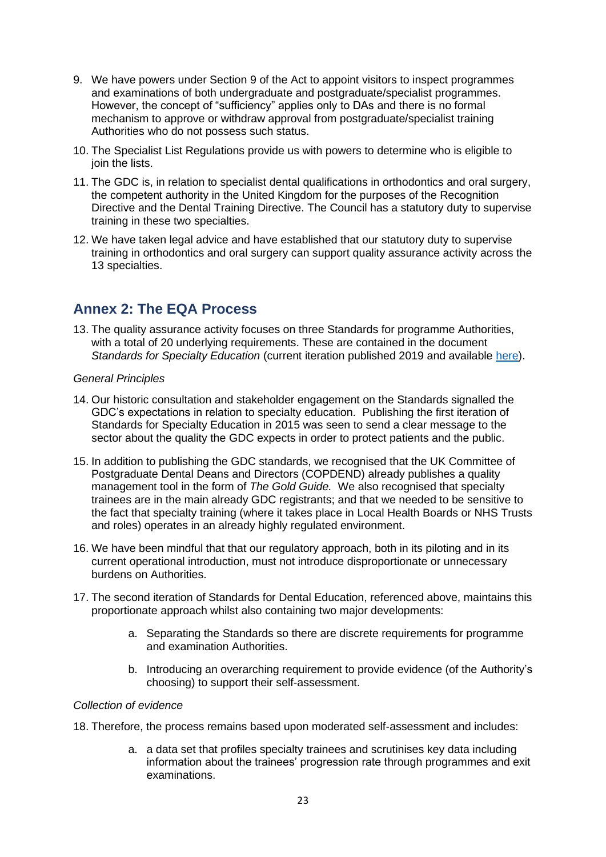- 9. We have powers under Section 9 of the Act to appoint visitors to inspect programmes and examinations of both undergraduate and postgraduate/specialist programmes. However, the concept of "sufficiency" applies only to DAs and there is no formal mechanism to approve or withdraw approval from postgraduate/specialist training Authorities who do not possess such status.
- 10. The Specialist List Regulations provide us with powers to determine who is eligible to ioin the lists.
- 11. The GDC is, in relation to specialist dental qualifications in orthodontics and oral surgery, the competent authority in the United Kingdom for the purposes of the Recognition Directive and the Dental Training Directive. The Council has a statutory duty to supervise training in these two specialties.
- 12. We have taken legal advice and have established that our statutory duty to supervise training in orthodontics and oral surgery can support quality assurance activity across the 13 specialties.

### **Annex 2: The EQA Process**

13. The quality assurance activity focuses on three Standards for programme Authorities, with a total of 20 underlying requirements. These are contained in the document *Standards for Specialty Education* (current iteration published 2019 and available [here\)](https://www.gdc-uk.org/professionals/specialist-lists).

### *General Principles*

- 14. Our historic consultation and stakeholder engagement on the Standards signalled the GDC's expectations in relation to specialty education. Publishing the first iteration of Standards for Specialty Education in 2015 was seen to send a clear message to the sector about the quality the GDC expects in order to protect patients and the public.
- 15. In addition to publishing the GDC standards, we recognised that the UK Committee of Postgraduate Dental Deans and Directors (COPDEND) already publishes a quality management tool in the form of *The Gold Guide.* We also recognised that specialty trainees are in the main already GDC registrants; and that we needed to be sensitive to the fact that specialty training (where it takes place in Local Health Boards or NHS Trusts and roles) operates in an already highly regulated environment.
- 16. We have been mindful that that our regulatory approach, both in its piloting and in its current operational introduction, must not introduce disproportionate or unnecessary burdens on Authorities.
- 17. The second iteration of Standards for Dental Education, referenced above, maintains this proportionate approach whilst also containing two major developments:
	- a. Separating the Standards so there are discrete requirements for programme and examination Authorities.
	- b. Introducing an overarching requirement to provide evidence (of the Authority's choosing) to support their self-assessment.

### *Collection of evidence*

- 18. Therefore, the process remains based upon moderated self-assessment and includes:
	- a. a data set that profiles specialty trainees and scrutinises key data including information about the trainees' progression rate through programmes and exit examinations.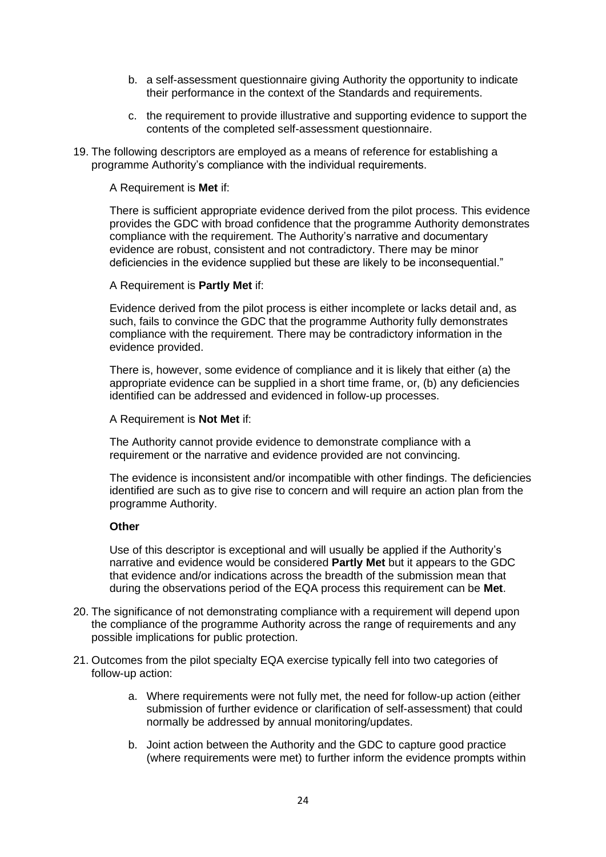- b. a self-assessment questionnaire giving Authority the opportunity to indicate their performance in the context of the Standards and requirements.
- c. the requirement to provide illustrative and supporting evidence to support the contents of the completed self-assessment questionnaire.
- 19. The following descriptors are employed as a means of reference for establishing a programme Authority's compliance with the individual requirements.

#### A Requirement is **Met** if:

There is sufficient appropriate evidence derived from the pilot process. This evidence provides the GDC with broad confidence that the programme Authority demonstrates compliance with the requirement. The Authority's narrative and documentary evidence are robust, consistent and not contradictory. There may be minor deficiencies in the evidence supplied but these are likely to be inconsequential."

#### A Requirement is **Partly Met** if:

Evidence derived from the pilot process is either incomplete or lacks detail and, as such, fails to convince the GDC that the programme Authority fully demonstrates compliance with the requirement. There may be contradictory information in the evidence provided.

There is, however, some evidence of compliance and it is likely that either (a) the appropriate evidence can be supplied in a short time frame, or, (b) any deficiencies identified can be addressed and evidenced in follow-up processes.

#### A Requirement is **Not Met** if:

The Authority cannot provide evidence to demonstrate compliance with a requirement or the narrative and evidence provided are not convincing.

The evidence is inconsistent and/or incompatible with other findings. The deficiencies identified are such as to give rise to concern and will require an action plan from the programme Authority.

#### **Other**

Use of this descriptor is exceptional and will usually be applied if the Authority's narrative and evidence would be considered **Partly Met** but it appears to the GDC that evidence and/or indications across the breadth of the submission mean that during the observations period of the EQA process this requirement can be **Met**.

- 20. The significance of not demonstrating compliance with a requirement will depend upon the compliance of the programme Authority across the range of requirements and any possible implications for public protection.
- 21. Outcomes from the pilot specialty EQA exercise typically fell into two categories of follow-up action:
	- a. Where requirements were not fully met, the need for follow-up action (either submission of further evidence or clarification of self-assessment) that could normally be addressed by annual monitoring/updates.
	- b. Joint action between the Authority and the GDC to capture good practice (where requirements were met) to further inform the evidence prompts within